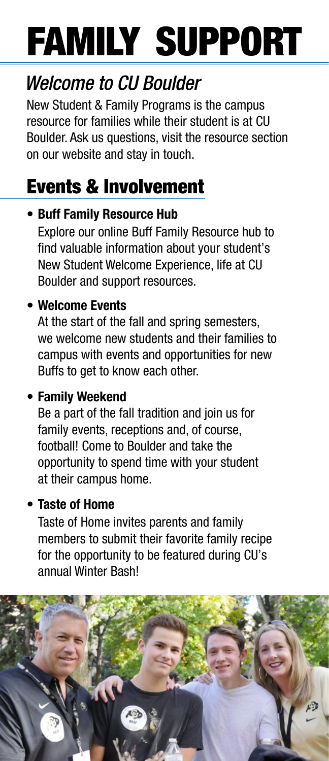# FAMILY SUPPORT

# *Welcome to CU Boulder*

New Student & Family Programs is the campus resource for families while their student is at CU Boulder. Ask us questions, visit the resource section on our website and stay in touch.

# Events & Involvement

#### • Buff Family Resource Hub

Explore our online Buff Family Resource hub to find valuable information about your student's New Student Welcome Experience, life at CU Boulder and support resources.

#### • Welcome Events

At the start of the fall and spring semesters, we welcome new students and their families to campus with events and opportunities for new Buffs to get to know each other.

#### • Family Weekend

Be a part of the fall tradition and join us for family events, receptions and, of course, football! Come to Boulder and take the opportunity to spend time with your student at their campus home.

#### • Taste of Home

Taste of Home invites parents and family members to submit their favorite family recipe for the opportunity to be featured during CU's annual Winter Bash!